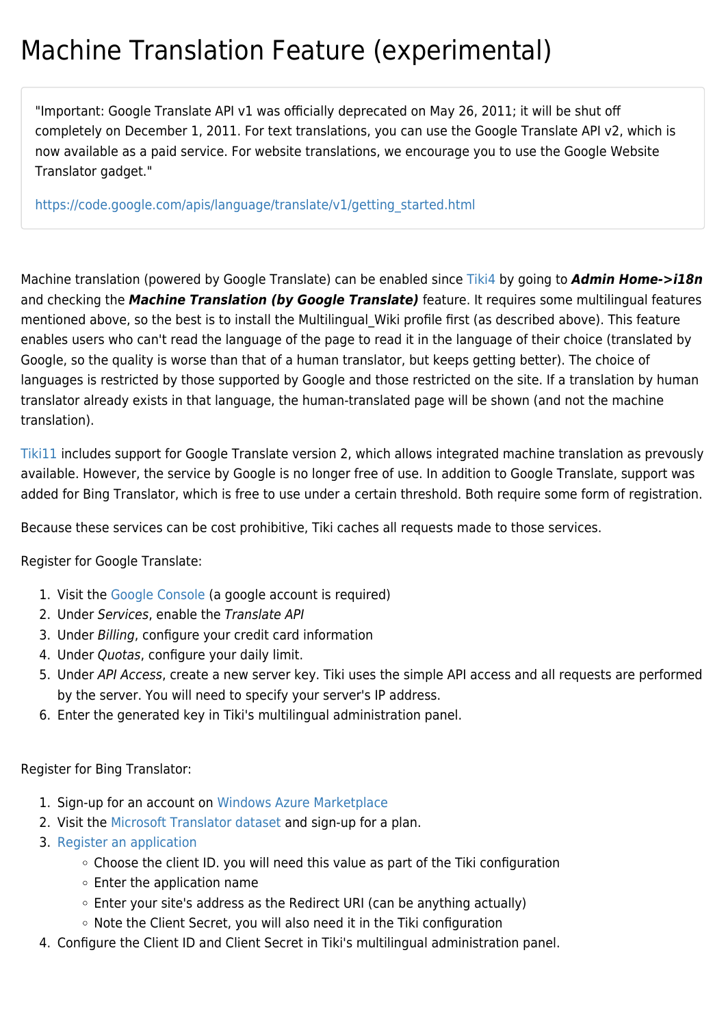## Machine Translation Feature (experimental)

"Important: Google Translate API v1 was officially deprecated on May 26, 2011; it will be shut off completely on December 1, 2011. For text translations, you can use the Google Translate API v2, which is now available as a paid service. For website translations, we encourage you to use the Google Website Translator gadget."

[https://code.google.com/apis/language/translate/v1/getting\\_started.html](https://code.google.com/apis/language/translate/v1/getting_started.html)

Machine translation (powered by Google Translate) can be enabled since [Tiki4](https://doc.tiki.org/Tiki4) by going to *Admin Home->i18n* and checking the *Machine Translation (by Google Translate)* feature. It requires some multilingual features mentioned above, so the best is to install the Multilingual Wiki profile first (as described above). This feature enables users who can't read the language of the page to read it in the language of their choice (translated by Google, so the quality is worse than that of a human translator, but keeps getting better). The choice of languages is restricted by those supported by Google and those restricted on the site. If a translation by human translator already exists in that language, the human-translated page will be shown (and not the machine translation).

[Tiki11](https://doc.tiki.org/Tiki11) includes support for Google Translate version 2, which allows integrated machine translation as prevously available. However, the service by Google is no longer free of use. In addition to Google Translate, support was added for Bing Translator, which is free to use under a certain threshold. Both require some form of registration.

Because these services can be cost prohibitive, Tiki caches all requests made to those services.

Register for Google Translate:

- 1. Visit the [Google Console](https://code.google.com/apis/console/) (a google account is required)
- 2. Under Services, enable the Translate API
- 3. Under Billing, configure your credit card information
- 4. Under Quotas, configure your daily limit.
- 5. Under API Access, create a new server key. Tiki uses the simple API access and all requests are performed by the server. You will need to specify your server's IP address.
- 6. Enter the generated key in Tiki's multilingual administration panel.

Register for Bing Translator:

- 1. Sign-up for an account on [Windows Azure Marketplace](https://datamarket.azure.com/)
- 2. Visit the [Microsoft Translator dataset](https://datamarket.azure.com/dataset/bing/microsofttranslator) and sign-up for a plan.
- 3. [Register an application](https://datamarket.azure.com/developer/applications/)
	- Choose the client ID. you will need this value as part of the Tiki configuration
	- $\circ$  Enter the application name
	- Enter your site's address as the Redirect URI (can be anything actually)
	- Note the Client Secret, you will also need it in the Tiki configuration
- 4. Configure the Client ID and Client Secret in Tiki's multilingual administration panel.